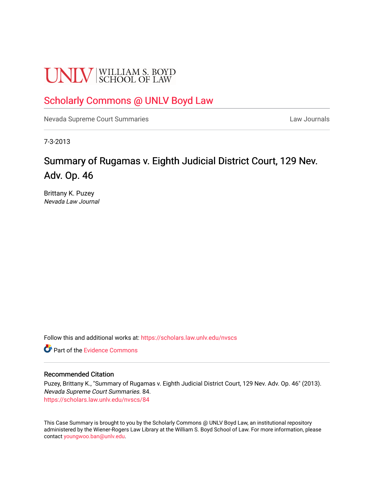# **UNLV** SCHOOL OF LAW

### [Scholarly Commons @ UNLV Boyd Law](https://scholars.law.unlv.edu/)

[Nevada Supreme Court Summaries](https://scholars.law.unlv.edu/nvscs) **Law Journals** Law Journals

7-3-2013

## Summary of Rugamas v. Eighth Judicial District Court, 129 Nev. Adv. Op. 46

Brittany K. Puzey Nevada Law Journal

Follow this and additional works at: [https://scholars.law.unlv.edu/nvscs](https://scholars.law.unlv.edu/nvscs?utm_source=scholars.law.unlv.edu%2Fnvscs%2F84&utm_medium=PDF&utm_campaign=PDFCoverPages)

**C** Part of the Evidence Commons

#### Recommended Citation

Puzey, Brittany K., "Summary of Rugamas v. Eighth Judicial District Court, 129 Nev. Adv. Op. 46" (2013). Nevada Supreme Court Summaries. 84. [https://scholars.law.unlv.edu/nvscs/84](https://scholars.law.unlv.edu/nvscs/84?utm_source=scholars.law.unlv.edu%2Fnvscs%2F84&utm_medium=PDF&utm_campaign=PDFCoverPages) 

This Case Summary is brought to you by the Scholarly Commons @ UNLV Boyd Law, an institutional repository administered by the Wiener-Rogers Law Library at the William S. Boyd School of Law. For more information, please contact [youngwoo.ban@unlv.edu](mailto:youngwoo.ban@unlv.edu).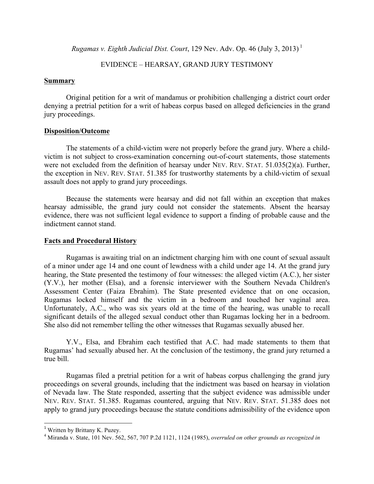*Rugamas v. Eighth Judicial Dist. Court*, 129 Nev. Adv. Op. 46 (July 3, 2013)<sup>1</sup>

#### EVIDENCE – HEARSAY, GRAND JURY TESTIMONY

#### **Summary**

Original petition for a writ of mandamus or prohibition challenging a district court order denying a pretrial petition for a writ of habeas corpus based on alleged deficiencies in the grand jury proceedings.

#### **Disposition/Outcome**

The statements of a child-victim were not properly before the grand jury. Where a childvictim is not subject to cross-examination concerning out-of-court statements, those statements were not excluded from the definition of hearsay under NEV. REV. STAT. 51.035(2)(a). Further, the exception in NEV. REV. STAT. 51.385 for trustworthy statements by a child-victim of sexual assault does not apply to grand jury proceedings.

Because the statements were hearsay and did not fall within an exception that makes hearsay admissible, the grand jury could not consider the statements. Absent the hearsay evidence, there was not sufficient legal evidence to support a finding of probable cause and the indictment cannot stand.

#### **Facts and Procedural History**

Rugamas is awaiting trial on an indictment charging him with one count of sexual assault of a minor under age 14 and one count of lewdness with a child under age 14. At the grand jury hearing, the State presented the testimony of four witnesses: the alleged victim (A.C.), her sister (Y.V.), her mother (Elsa), and a forensic interviewer with the Southern Nevada Children's Assessment Center (Faiza Ebrahim). The State presented evidence that on one occasion, Rugamas locked himself and the victim in a bedroom and touched her vaginal area. Unfortunately, A.C., who was six years old at the time of the hearing, was unable to recall significant details of the alleged sexual conduct other than Rugamas locking her in a bedroom. She also did not remember telling the other witnesses that Rugamas sexually abused her.

Y.V., Elsa, and Ebrahim each testified that A.C. had made statements to them that Rugamas' had sexually abused her. At the conclusion of the testimony, the grand jury returned a true bill.

Rugamas filed a pretrial petition for a writ of habeas corpus challenging the grand jury proceedings on several grounds, including that the indictment was based on hearsay in violation of Nevada law. The State responded, asserting that the subject evidence was admissible under NEV. REV. STAT. 51.385. Rugamas countered, arguing that NEV. REV. STAT. 51.385 does not apply to grand jury proceedings because the statute conditions admissibility of the evidence upon

 

<sup>&</sup>lt;sup>1</sup> Written by Brittany K. Puzey.

<sup>4</sup> Miranda v. State, 101 Nev. 562, 567, 707 P.2d 1121, 1124 (1985), *overruled on other grounds as recognized in*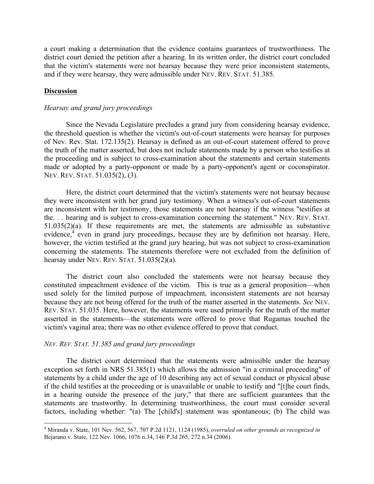a court making a determination that the evidence contains guarantees of trustworthiness. The district court denied the petition after a hearing. In its written order, the district court concluded that the victim's statements were not hearsay because they were prior inconsistent statements, and if they were hearsay, they were admissible under NEV. REV. STAT. 51.385.

#### **Discussion**

#### *Hearsay and grand jury proceedings*

Since the Nevada Legislature precludes a grand jury from considering hearsay evidence, the threshold question is whether the victim's out-of-court statements were hearsay for purposes of Nev. Rev. Stat. 172.135(2). Hearsay is defined as an out-of-court statement offered to prove the truth of the matter asserted, but does not include statements made by a person who testifies at the proceeding and is subject to cross-examination about the statements and certain statements made or adopted by a party-opponent or made by a party-opponent's agent or coconspirator. NEV. REV. STAT. 51.035(2), (3).

Here, the district court determined that the victim's statements were not hearsay because they were inconsistent with her grand jury testimony. When a witness's out-of-court statements are inconsistent with her testimony, those statements are not hearsay if the witness "testifies at the. . . hearing and is subject to cross-examination concerning the statement." NEV. REV. STAT. 51.035(2)(a). If these requirements are met, the statements are admissible as substantive evidence,<sup>4</sup> even in grand jury proceedings, because they are by definition not hearsay. Here, however, the victim testified at the grand jury hearing, but was not subject to cross-examination concerning the statements. The statements therefore were not excluded from the definition of hearsay under NEV. REV. STAT. 51.035(2)(a).

The district court also concluded the statements were not hearsay because they constituted impeachment evidence of the victim. This is true as a general proposition—when used solely for the limited purpose of impeachment, inconsistent statements are not hearsay because they are not being offered for the truth of the matter asserted in the statements. *See* NEV. REV. STAT. 51.035. Here, however, the statements were used primarily for the truth of the matter asserted in the statements—the statements were offered to prove that Rugamas touched the victim's vaginal area; there was no other evidence offered to prove that conduct.

#### *NEV. REV. STAT. 51.385 and grand jury proceedings*

 

The district court determined that the statements were admissible under the hearsay exception set forth in NRS 51.385(1) which allows the admission "in a criminal proceeding" of statements by a child under the age of 10 describing any act of sexual conduct or physical abuse if the child testifies at the proceeding or is unavailable or unable to testify and "[t]he court finds, in a hearing outside the presence of the jury," that there are sufficient guarantees that the statements are trustworthy. In determining trustworthiness, the court must consider several factors, including whether: "(a) The [child's] statement was spontaneous; (b) The child was

<sup>4</sup> Miranda v. State, 101 Nev. 562, 567, 707 P.2d 1121, 1124 (1985), *overruled on other grounds as recognized in*  Bejarano v. State, 122 Nev. 1066, 1076 n.34, 146 P.3d 265, 272 n.34 (2006).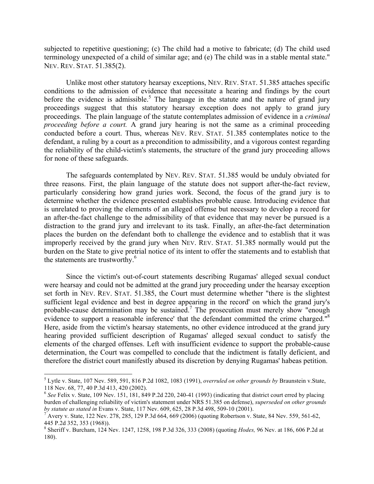subjected to repetitive questioning; (c) The child had a motive to fabricate; (d) The child used terminology unexpected of a child of similar age; and (e) The child was in a stable mental state." NEV. REV. STAT. 51.385(2).

Unlike most other statutory hearsay exceptions, NEV. REV. STAT. 51.385 attaches specific conditions to the admission of evidence that necessitate a hearing and findings by the court before the evidence is admissible.<sup>5</sup> The language in the statute and the nature of grand jury proceedings suggest that this statutory hearsay exception does not apply to grand jury proceedings. The plain language of the statute contemplates admission of evidence in a *criminal proceeding before a court.* A grand jury hearing is not the same as a criminal proceeding conducted before a court. Thus, whereas NEV. REV. STAT. 51.385 contemplates notice to the defendant, a ruling by a court as a precondition to admissibility, and a vigorous contest regarding the reliability of the child-victim's statements, the structure of the grand jury proceeding allows for none of these safeguards.

The safeguards contemplated by NEV. REV. STAT. 51.385 would be unduly obviated for three reasons. First, the plain language of the statute does not support after-the-fact review, particularly considering how grand juries work. Second, the focus of the grand jury is to determine whether the evidence presented establishes probable cause. Introducing evidence that is unrelated to proving the elements of an alleged offense but necessary to develop a record for an after-the-fact challenge to the admissibility of that evidence that may never be pursued is a distraction to the grand jury and irrelevant to its task. Finally, an after-the-fact determination places the burden on the defendant both to challenge the evidence and to establish that it was improperly received by the grand jury when NEV. REV. STAT. 51.385 normally would put the burden on the State to give pretrial notice of its intent to offer the statements and to establish that the statements are trustworthy.<sup>6</sup>

Since the victim's out-of-court statements describing Rugamas' alleged sexual conduct were hearsay and could not be admitted at the grand jury proceeding under the hearsay exception set forth in NEV. REV. STAT. 51.385, the Court must determine whether "there is the slightest sufficient legal evidence and best in degree appearing in the record' on which the grand jury's probable-cause determination may be sustained. <sup>7</sup> The prosecution must merely show "enough evidence to support a reasonable inference' that the defendant committed the crime charged."<sup>8</sup> Here, aside from the victim's hearsay statements, no other evidence introduced at the grand jury hearing provided sufficient description of Rugamas' alleged sexual conduct to satisfy the elements of the charged offenses. Left with insufficient evidence to support the probable-cause determination, the Court was compelled to conclude that the indictment is fatally deficient, and therefore the district court manifestly abused its discretion by denying Rugamas' habeas petition.

 

<sup>5</sup> Lytle v. State, 107 Nev. 589, 591, 816 P.2d 1082, 1083 (1991), *overruled on other grounds by* Braunstein v.State, 118 Nev. 68, 77, 40 P.3d 413, 420 (2002).

<sup>6</sup> *See* Felix v. State, 109 Nev. 151, 181, 849 P.2d 220, 240-41 (1993) (indicating that district court erred by placing burden of challenging reliability of victim's statement under NRS 51.385 on defense), *superseded on other grounds by statute as stated in* Evans v. State, 117 Nev. 609, 625, 28 P.3d 498, 509-10 (2001).<br><sup>7</sup> Avery v. State, 122 Nev. 278, 285, 129 P.3d 664, 669 (2006) (quoting Robertson v. State, 84 Nev. 559, 561-62,

<sup>445</sup> P.2d 352, 353 (1968)).

<sup>8</sup> Sheriff v. Burcham, 124 Nev. 1247, 1258, 198 P.3d 326, 333 (2008) (quoting *Hodes,* 96 Nev. at 186, 606 P.2d at 180).